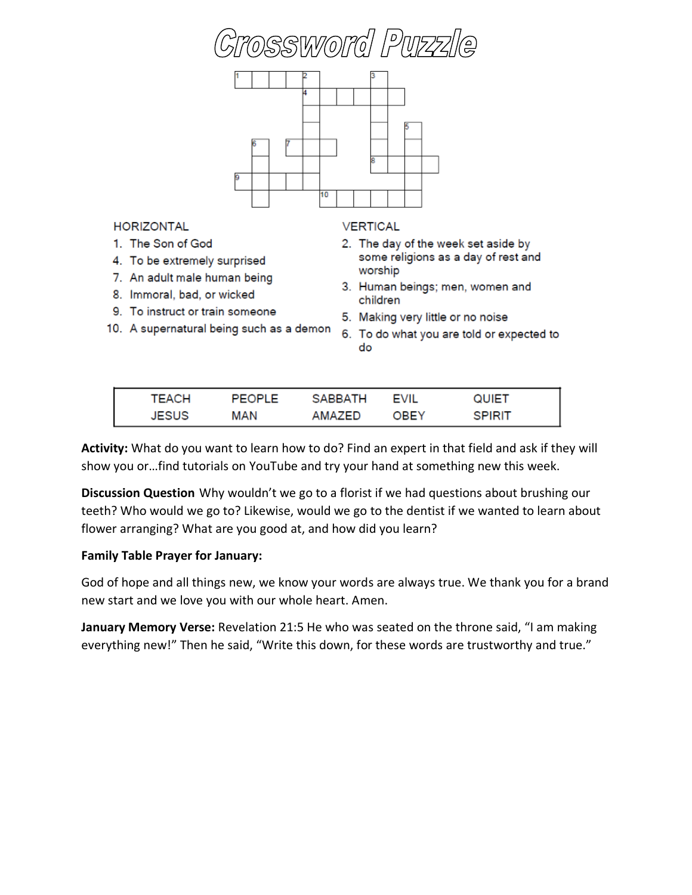



**HORIZONTAL** 

- 1. The Son of God
- 4. To be extremely surprised
- 7. An adult male human being
- 8. Immoral, bad, or wicked
- 9. To instruct or train someone
- 10. A supernatural being such as a demon

## **VERTICAL**

- 2. The day of the week set aside by some religions as a day of rest and worship
- 3. Human beings; men, women and children
- 5. Making very little or no noise
- 6. To do what you are told or expected to do

| <b>TEACH</b> | PEOPLE | <b>SABBATH</b> | <b>EVIL</b> | QUIET  |
|--------------|--------|----------------|-------------|--------|
| JESUS        | MAN    | AMAZED         | OBEY        | SPIRIT |

**Activity:** What do you want to learn how to do? Find an expert in that field and ask if they will show you or…find tutorials on YouTube and try your hand at something new this week.

**Discussion Question** Why wouldn't we go to a florist if we had questions about brushing our teeth? Who would we go to? Likewise, would we go to the dentist if we wanted to learn about flower arranging? What are you good at, and how did you learn?

## **Family Table Prayer for January:**

God of hope and all things new, we know your words are always true. We thank you for a brand new start and we love you with our whole heart. Amen.

**January Memory Verse:** Revelation 21:5 He who was seated on the throne said, "I am making everything new!" Then he said, "Write this down, for these words are trustworthy and true."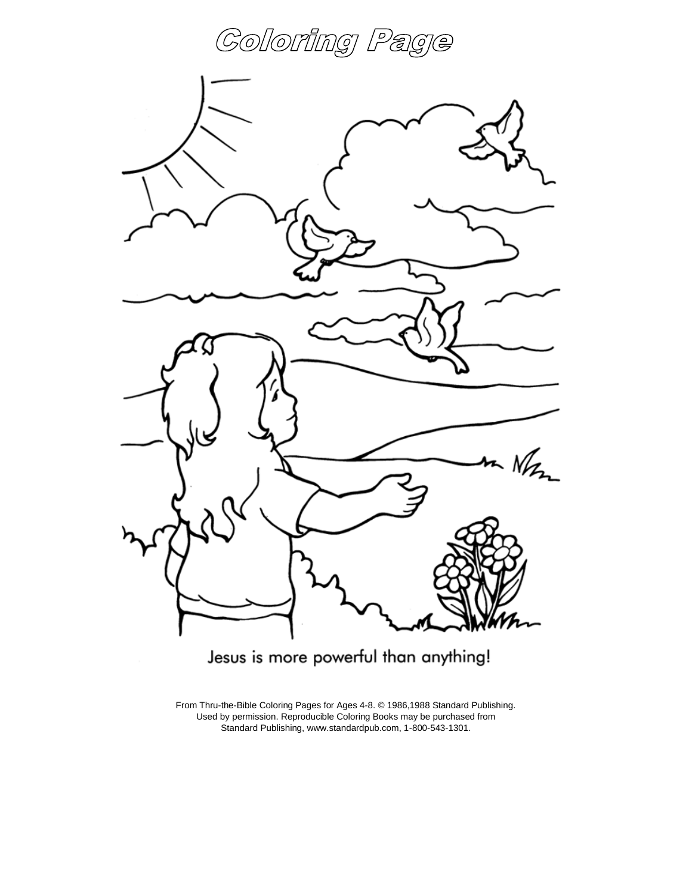



Jesus is more powerful than anything!

From Thru-the-Bible Coloring Pages for Ages 4-8. © 1986,1988 Standard Publishing. Used by permission. Reproducible Coloring Books may be purchased from Standard Publishing, www.standardpub.com, 1-800-543-1301.